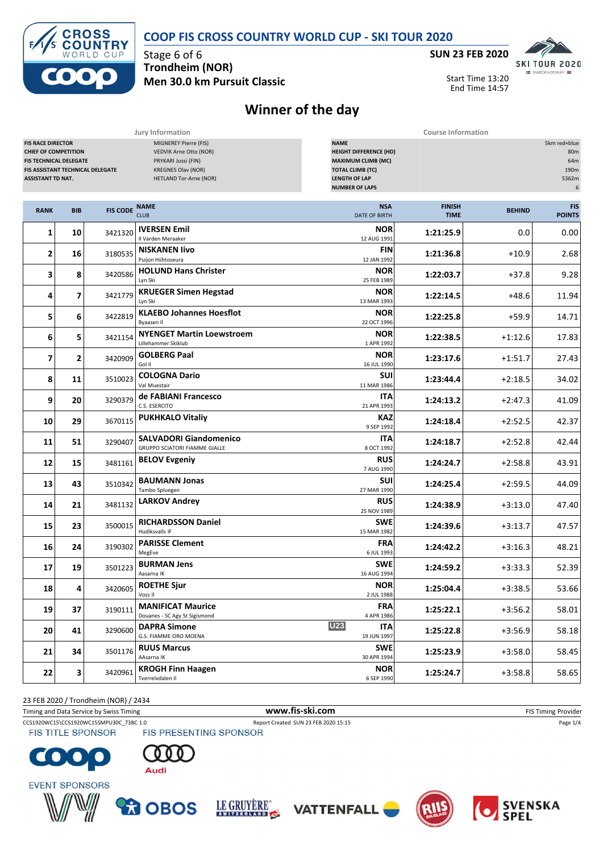| <b>CROSS</b><br>SCOUNTRY | <b>COOP FIS CROSS COUNTRY WORLD CUP - SKI TOUR 2020</b> |              |
|--------------------------|---------------------------------------------------------|--------------|
| WORLD CUP                | Stage 6 of 6                                            | <b>SUN</b> : |
| <b>PARK</b>              | <b>Trondheim (NOR)</b>                                  |              |

 $F/1$ 



Start Time 13:20 End Time 14:57

## **Men 30.0 km Pursuit Classic Winner of the day**

| Jury Information<br><b>Course Information</b>                                                                                                                                                                                                                                                                                                                                                                                                             |                         |                 |                                                                       |                                         |                              |                                                  |                             |
|-----------------------------------------------------------------------------------------------------------------------------------------------------------------------------------------------------------------------------------------------------------------------------------------------------------------------------------------------------------------------------------------------------------------------------------------------------------|-------------------------|-----------------|-----------------------------------------------------------------------|-----------------------------------------|------------------------------|--------------------------------------------------|-----------------------------|
| <b>FIS RACE DIRECTOR</b><br>MIGNEREY Pierre (FIS)<br><b>NAME</b><br>VEDVIK Arne Otto (NOR)<br><b>HEIGHT DIFFERENCE (HD)</b><br><b>CHIEF OF COMPETITION</b><br><b>MAXIMUM CLIMB (MC)</b><br><b>FIS TECHNICAL DELEGATE</b><br>PRYKARI Jussi (FIN)<br><b>KREGNES Olav (NOR)</b><br><b>TOTAL CLIMB (TC)</b><br>FIS ASSISTANT TECHNICAL DELEGATE<br><b>HETLAND Tor-Arne (NOR)</b><br><b>LENGTH OF LAP</b><br><b>ASSISTANT TD NAT.</b><br><b>NUMBER OF LAPS</b> |                         |                 |                                                                       |                                         |                              | 5km red+blue<br>80m<br>64m<br>190m<br>5362m<br>6 |                             |
| <b>RANK</b>                                                                                                                                                                                                                                                                                                                                                                                                                                               | <b>BIB</b>              | <b>FIS CODE</b> | <b>NAME</b><br><b>CLUB</b>                                            | <b>NSA</b><br><b>DATE OF BIRTH</b>      | <b>FINISH</b><br><b>TIME</b> | <b>BEHIND</b>                                    | <b>FIS</b><br><b>POINTS</b> |
| 1                                                                                                                                                                                                                                                                                                                                                                                                                                                         | 10                      | 3421320         | <b>IVERSEN Emil</b><br>Il Varden Meraaker                             | <b>NOR</b><br>12 AUG 1991               | 1:21:25.9                    | 0.0                                              | 0.00                        |
| 2                                                                                                                                                                                                                                                                                                                                                                                                                                                         | 16                      | 3180535         | <b>NISKANEN livo</b><br>Puijon Hiihtoseura                            | <b>FIN</b><br>12 JAN 1992               | 1:21:36.8                    | $+10.9$                                          | 2.68                        |
| 3                                                                                                                                                                                                                                                                                                                                                                                                                                                         | 8                       | 3420586         | <b>HOLUND Hans Christer</b><br>Lyn Ski                                | <b>NOR</b><br>25 FEB 1989               | 1:22:03.7                    | $+37.8$                                          | 9.28                        |
| 4                                                                                                                                                                                                                                                                                                                                                                                                                                                         | $\overline{ }$          | 3421779         | <b>KRUEGER Simen Hegstad</b><br>Lyn Ski                               | NOR<br>13 MAR 1993                      | 1:22:14.5                    | $+48.6$                                          | 11.94                       |
| 5                                                                                                                                                                                                                                                                                                                                                                                                                                                         | 6                       | 3422819         | <b>KLAEBO Johannes Hoesflot</b><br><b>Byaasen II</b>                  | <b>NOR</b><br>22 OCT 1996               | 1:22:25.8                    | $+59.9$                                          | 14.71                       |
| 6                                                                                                                                                                                                                                                                                                                                                                                                                                                         | 5                       | 3421154         | <b>NYENGET Martin Loewstroem</b><br>Lillehammer Skiklub               | <b>NOR</b><br>1 APR 1992                | 1:22:38.5                    | $+1:12.6$                                        | 17.83                       |
| $\overline{ }$                                                                                                                                                                                                                                                                                                                                                                                                                                            | $\overline{\mathbf{2}}$ | 3420909         | <b>GOLBERG Paal</b><br>Gol II                                         | $+1:51.7$                               | 27.43                        |                                                  |                             |
| 8                                                                                                                                                                                                                                                                                                                                                                                                                                                         | 11                      | 3510023         | <b>COLOGNA Dario</b><br>Val Muestair                                  | $+2:18.5$                               | 34.02                        |                                                  |                             |
| 9                                                                                                                                                                                                                                                                                                                                                                                                                                                         | 20                      | 3290379         | de FABIANI Francesco<br>C.S. ESERCITO                                 | <b>ITA</b><br>1:24:13.2<br>21 APR 1993  |                              |                                                  |                             |
| 10                                                                                                                                                                                                                                                                                                                                                                                                                                                        | 29                      | 3670115         | <b>PUKHKALO Vitaliy</b>                                               | <b>KAZ</b><br>9 SEP 1992                | 1:24:18.4                    | $+2:52.5$                                        | 42.37                       |
| 11                                                                                                                                                                                                                                                                                                                                                                                                                                                        | 51                      | 3290407         | <b>SALVADORI Giandomenico</b><br><b>GRUPPO SCIATORI FIAMME GIALLE</b> | ITA<br>8 OCT 1992                       | 1:24:18.7                    | $+2:52.8$                                        | 42.44                       |
| 12                                                                                                                                                                                                                                                                                                                                                                                                                                                        | 15                      | 3481161         | <b>BELOV Evgeniy</b>                                                  | <b>RUS</b><br>7 AUG 1990                | 1:24:24.7                    | $+2:58.8$                                        | 43.91                       |
| 13                                                                                                                                                                                                                                                                                                                                                                                                                                                        | 43                      | 3510342         | <b>BAUMANN Jonas</b><br>Tambo Spluegen                                | SUI<br>27 MAR 1990                      | 1:24:25.4                    | $+2:59.5$                                        | 44.09                       |
| 14                                                                                                                                                                                                                                                                                                                                                                                                                                                        | 21                      | 3481132         | <b>LARKOV Andrey</b>                                                  | <b>RUS</b><br>25 NOV 1989               | 1:24:38.9                    | $+3:13.0$                                        | 47.40                       |
| 15                                                                                                                                                                                                                                                                                                                                                                                                                                                        | 23                      | 3500015         | <b>RICHARDSSON Daniel</b><br>Hudiksvalls IF                           | <b>SWE</b><br>15 MAR 1982               | 1:24:39.6                    | $+3:13.7$                                        | 47.57                       |
| 16                                                                                                                                                                                                                                                                                                                                                                                                                                                        | 24                      | 3190302         | <b>PARISSE Clement</b><br>MegEve                                      | <b>FRA</b><br>6 JUL 1993                | 1:24:42.2                    | $+3:16.3$                                        | 48.21                       |
| 17                                                                                                                                                                                                                                                                                                                                                                                                                                                        | 19                      | 3501223         | <b>BURMAN Jens</b><br>Aasarna IK                                      | <b>SWE</b><br>16 AUG 1994               | 1:24:59.2                    | $+3:33.3$                                        | 52.39                       |
| 18                                                                                                                                                                                                                                                                                                                                                                                                                                                        | $\boldsymbol{4}$        | 3420605         | <b>ROETHE Sjur</b><br>Voss II                                         | NOR<br>2 JUL 1988                       | 1:25:04.4                    | $+3:38.5$                                        | 53.66                       |
| 19                                                                                                                                                                                                                                                                                                                                                                                                                                                        | 37                      | 3190111         | <b>MANIFICAT Maurice</b><br>Douanes - SC Agy St Sigismond             | <b>FRA</b><br>4 APR 1986                | 1:25:22.1                    | $+3:56.2$                                        | 58.01                       |
| 20                                                                                                                                                                                                                                                                                                                                                                                                                                                        | 41                      | 3290600         | <b>DAPRA Simone</b><br>G.S. FIAMME ORO MOENA                          | <b>U23</b><br><b>ITA</b><br>19 JUN 1997 | 1:25:22.8                    | $+3:56.9$                                        | 58.18                       |
| 21                                                                                                                                                                                                                                                                                                                                                                                                                                                        | 34                      | 3501176         | <b>RUUS Marcus</b><br>AAsarna IK                                      | <b>SWE</b><br>30 APR 1994               | 1:25:23.9                    | $+3:58.0$                                        | 58.45                       |
| 22                                                                                                                                                                                                                                                                                                                                                                                                                                                        | $\mathbf{3}$            | 3420961         | <b>KROGH Finn Haagen</b><br>Tverrelvdalen Il                          | <b>NOR</b><br>6 SEP 1990                | 1:25:24.7                    | $+3:58.8$                                        | 58.65                       |

23 FEB 2020 / Trondheim (NOR) / 2434

Timing and Data Service by Swiss Timing **WWW.fis-Ski.com WWW.fis-Ski.com** FIS Timing Provider

CCS1920WC15\CCS1920WC15SMPU30C\_73BC 1.0 Report Created SUN 23 FEB 2020 15:15 Page 1/4<br>
FIS TITLE SPONSOR FIS PRESENTING SPONSOR **FIS TITLE SPONSOR** 

 $\bullet$ C













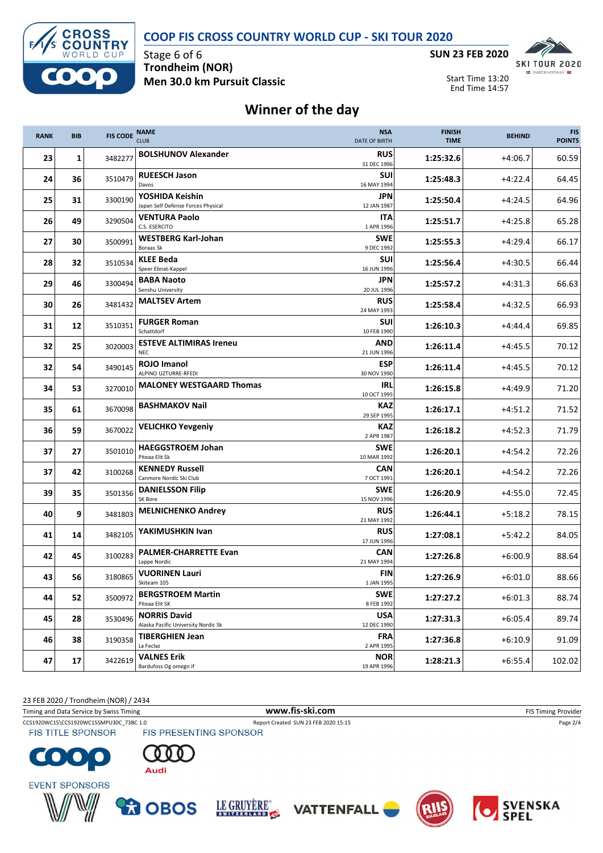**COOP FIS CROSS COUNTRY WORLD CUP - SKI TOUR 2020**



Stage 6 of 6 **Trondheim (NOR) Men 30.0 km Pursuit Classic**



Start Time 13:20 End Time 14:57

## **Winner of the day**

| <b>RANK</b> | <b>BIB</b>  | <b>FIS CODE</b> | <b>NAME</b><br><b>CLUB</b>                                 | <b>NSA</b><br><b>DATE OF BIRTH</b>     | <b>FINISH</b><br><b>TIME</b> | <b>BEHIND</b> | <b>FIS</b><br><b>POINTS</b> |
|-------------|-------------|-----------------|------------------------------------------------------------|----------------------------------------|------------------------------|---------------|-----------------------------|
| 23          | $\mathbf 1$ | 3482277         | <b>BOLSHUNOV Alexander</b>                                 | <b>RUS</b><br>31 DEC 1996              | 1:25:32.6                    | $+4:06.7$     | 60.59                       |
| 24          | 36          | 3510479         | <b>RUEESCH Jason</b><br>Davos                              | $+4:22.4$                              | 64.45                        |               |                             |
| 25          | 31          | 3300190         | YOSHIDA Keishin<br>Japan Self Defense Forces Physical      | JPN<br>12 JAN 1987                     | 1:25:50.4                    | $+4:24.5$     | 64.96                       |
| 26          | 49          | 3290504         | <b>VENTURA Paolo</b><br>C.S. ESERCITO                      | ITA<br>1 APR 1996                      | 1:25:51.7                    | $+4:25.8$     | 65.28                       |
| 27          | 30          | 3500991         | <b>WESTBERG Karl-Johan</b><br>Boraas Sk                    | <b>SWE</b><br>9 DEC 1992               | 1:25:55.3                    | $+4:29.4$     | 66.17                       |
| 28          | 32          | 3510534         | <b>KLEE Beda</b><br>Speer Ebnat-Kappel                     | <b>SUI</b><br>16 JUN 1996              | 1:25:56.4                    | $+4:30.5$     | 66.44                       |
| 29          | 46          | 3300494         | <b>BABA Naoto</b><br>Senshu University                     | JPN<br>20 JUL 1996                     | 1:25:57.2                    | $+4:31.3$     | 66.63                       |
| 30          | 26          | 3481432         | <b>MALTSEV Artem</b>                                       | <b>RUS</b><br>24 MAY 1993              | 1:25:58.4                    | $+4:32.5$     | 66.93                       |
| 31          | 12          | 3510351         | <b>FURGER Roman</b><br>Schattdorf                          | <b>SUI</b><br>10 FEB 1990              | 1:26:10.3                    | $+4:44.4$     | 69.85                       |
| 32          | 25          | 3020003         | <b>ESTEVE ALTIMIRAS Ireneu</b><br><b>NEC</b>               | <b>AND</b><br>1:26:11.4<br>21 JUN 1996 |                              |               | 70.12                       |
| 32          | 54          | 3490145         | <b>ROJO Imanol</b><br>ALPINO UZTURRE-RFEDI                 | <b>ESP</b><br>30 NOV 1990              | 1:26:11.4                    | $+4:45.5$     | 70.12                       |
| 34          | 53          | 3270010         | <b>MALONEY WESTGAARD Thomas</b>                            | IRL<br>1:26:15.8<br>10 OCT 1995        |                              | $+4:49.9$     | 71.20                       |
| 35          | 61          | 3670098         | <b>BASHMAKOV Nail</b>                                      | <b>KAZ</b><br>1:26:17.1<br>29 SEP 1995 |                              | $+4:51.2$     | 71.52                       |
| 36          | 59          | 3670022         | <b>VELICHKO Yevgeniy</b>                                   | KAZ<br>1:26:18.2<br>2 APR 1987         |                              | $+4:52.3$     | 71.79                       |
| 37          | 27          | 3501010         | <b>HAEGGSTROEM Johan</b><br>Piteaa Elit Sk                 | <b>SWE</b><br>10 MAR 1992              | 1:26:20.1                    | $+4:54.2$     | 72.26                       |
| 37          | 42          | 3100268         | <b>KENNEDY Russell</b><br>Canmore Nordic Ski Club          | <b>CAN</b><br>7 OCT 1991               | 1:26:20.1                    | $+4:54.2$     | 72.26                       |
| 39          | 35          | 3501356         | <b>DANIELSSON Filip</b><br>SK Bore                         | <b>SWE</b><br>15 NOV 1996              | 1:26:20.9                    | $+4:55.0$     | 72.45                       |
| 40          | 9           | 3481803         | <b>MELNICHENKO Andrey</b>                                  | <b>RUS</b><br>21 MAY 1992              | 1:26:44.1                    | $+5:18.2$     | 78.15                       |
| 41          | 14          | 3482105         | YAKIMUSHKIN Ivan                                           | <b>RUS</b><br>17 JUN 1996              | 1:27:08.1                    | $+5:42.2$     | 84.05                       |
| 42          | 45          | 3100283         | <b>PALMER-CHARRETTE Evan</b><br>Lappe Nordic               | <b>CAN</b><br>21 MAY 1994              | 1:27:26.8                    | $+6:00.9$     | 88.64                       |
| 43          | 56          | 3180865         | <b>VUORINEN Lauri</b><br>Skiteam 105                       | FIN<br>1:27:26.9<br>1 JAN 1995         |                              | $+6:01.0$     | 88.66                       |
| 44          | 52          | 3500972         | <b>BERGSTROEM Martin</b><br>Piteaa Elit SK                 | <b>SWE</b><br>1:27:27.2<br>8 FEB 1992  |                              | $+6:01.3$     | 88.74                       |
| 45          | 28          | 3530496         | <b>NORRIS David</b><br>Alaska Pacific University Nordic Sk | <b>USA</b><br>12 DEC 1990              | 1:27:31.3                    |               | 89.74                       |
| 46          | 38          | 3190358         | <b>TIBERGHIEN Jean</b><br>La Feclaz                        | <b>FRA</b><br>2 APR 1995               | 1:27:36.8<br>$+6:10.9$       |               | 91.09                       |
| 47          | 17          | 3422619         | <b>VALNES Erik</b><br>Bardufoss Og omegn if                | <b>NOR</b><br>19 APR 1996              | 1:28:21.3                    | $+6:55.4$     | 102.02                      |

23 FEB 2020 / Trondheim (NOR) / 2434

Timing and Data Service by Swiss Timing **WWW.fis-Ski.com WWW.fis-Ski.com** FIS Timing Provider

CCS1920WC15\CCS1920WC15SMPU30C\_73BC 1.0 Report Created SUN 23 FEB 2020 15:15 Page 2/4<br>
FIS TITLE SPONSOR FIS PRESENTING SPONSOR **FIS TITLE SPONSOR** 













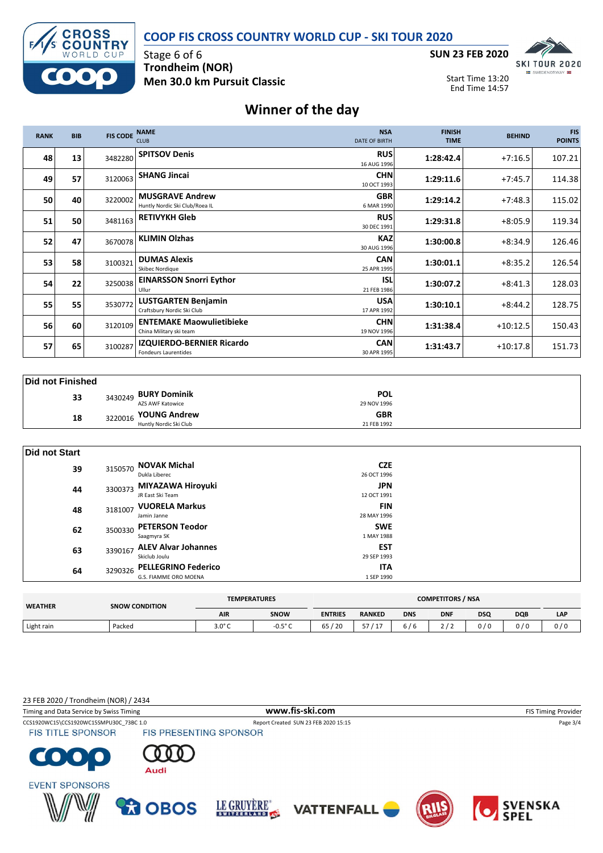



Stage 6 of 6 **Trondheim (NOR) Men 30.0 km Pursuit Classic**



Start Time 13:20 End Time 14:57

## **Winner of the day**

| <b>RANK</b> | <b>BIB</b> | <b>FIS CODE</b> | <b>NAME</b><br><b>CLUB</b>                                 | <b>NSA</b><br><b>DATE OF BIRTH</b> | <b>FINISH</b><br><b>TIME</b> | <b>BEHIND</b> | <b>FIS</b><br><b>POINTS</b> |
|-------------|------------|-----------------|------------------------------------------------------------|------------------------------------|------------------------------|---------------|-----------------------------|
| 48          | 13         | 3482280         | <b>SPITSOV Denis</b>                                       | <b>RUS</b><br>16 AUG 1996          | 1:28:42.4                    | $+7:16.5$     | 107.21                      |
| 49          | 57         | 3120063         | <b>SHANG Jincai</b>                                        | <b>CHN</b><br>10 OCT 1993          | 1:29:11.6                    | $+7:45.7$     | 114.38                      |
| 50          | 40         | 3220002         | <b>MUSGRAVE Andrew</b><br>Huntly Nordic Ski Club/Roea IL   | <b>GBR</b><br>6 MAR 1990           | 1:29:14.2                    | $+7:48.3$     | 115.02                      |
| 51          | 50         | 3481163         | <b>RETIVYKH Gleb</b>                                       | <b>RUS</b><br>30 DEC 1991          | 1:29:31.8                    | $+8:05.9$     | 119.34                      |
| 52          | 47         | 3670078         | <b>KLIMIN Olzhas</b>                                       | <b>KAZ</b><br>30 AUG 1996          | 1:30:00.8                    | $+8:34.9$     | 126.46                      |
| 53          | 58         | 3100321         | <b>DUMAS Alexis</b><br>Skibec Nordiaue                     | <b>CAN</b><br>25 APR 1995          | 1:30:01.1                    | $+8:35.2$     | 126.54                      |
| 54          | 22         | 3250038         | <b>EINARSSON Snorri Eythor</b><br>Ullur                    | <b>ISL</b><br>21 FEB 1986          | 1:30:07.2                    | $+8:41.3$     | 128.03                      |
| 55          | 55         | 3530772         | <b>LUSTGARTEN Benjamin</b><br>Craftsbury Nordic Ski Club   | <b>USA</b><br>17 APR 1992          | 1:30:10.1                    | $+8:44.2$     | 128.75                      |
| 56          | 60         | 3120109         | <b>ENTEMAKE Maowulietibieke</b><br>China Military ski team | <b>CHN</b><br>19 NOV 1996          | 1:31:38.4                    | $+10:12.5$    | 150.43                      |
| 57          | 65         | 3100287         | IZQUIERDO-BERNIER Ricardo<br><b>Fondeurs Laurentides</b>   | <b>CAN</b><br>30 APR 1995          | 1:31:43.7                    | $+10:17.8$    | 151.73                      |

|  | <b>Did not Finished</b> |
|--|-------------------------|
|--|-------------------------|

| ------------------ |         |                        |             |  |
|--------------------|---------|------------------------|-------------|--|
| 33                 |         | 3430249 BURY Dominik   | <b>POL</b>  |  |
|                    |         | AZS AWF Katowice       | 29 NOV 1996 |  |
| 18                 | 3220016 | <b>YOUNG Andrew</b>    | <b>GBR</b>  |  |
|                    |         | Huntly Nordic Ski Club | 21 FEB 1992 |  |

| Did not Start |         |                                                     |                           |  |
|---------------|---------|-----------------------------------------------------|---------------------------|--|
| 39            | 3150570 | <b>NOVAK Michal</b><br>Dukla Liberec                | <b>CZE</b><br>26 OCT 1996 |  |
| 44            | 3300373 | MIYAZAWA Hiroyuki<br>JR East Ski Team               | JPN.<br>12 OCT 1991       |  |
| 48            | 3181007 | <b>VUORELA Markus</b><br>Jamin Janne                | <b>FIN</b><br>28 MAY 1996 |  |
| 62            | 3500330 | <b>PETERSON Teodor</b><br>Saagmyra SK               | <b>SWE</b><br>1 MAY 1988  |  |
| 63            | 3390167 | <b>ALEV Alvar Johannes</b><br>Skiclub Joulu         | <b>EST</b><br>29 SEP 1993 |  |
| 64            | 3290326 | <b>PELLEGRINO Federico</b><br>G.S. FIAMME ORO MOENA | <b>ITA</b><br>1 SEP 1990  |  |

| <b>WEATHER</b> | <b>SNOW CONDITION</b> | <b>COMPETITORS / NSA</b><br><b>TEMPERATURES</b> |                  |                |               |            |            |            |            |     |
|----------------|-----------------------|-------------------------------------------------|------------------|----------------|---------------|------------|------------|------------|------------|-----|
|                |                       | <b>AIR</b>                                      | SNOW             | <b>ENTRIES</b> | <b>RANKED</b> | <b>DNS</b> | <b>DNF</b> | <b>DSQ</b> | <b>DQB</b> | LAP |
| Light rain     | Packed                | $3.0^\circ C$                                   | $-0.5^{\circ}$ C | / 20<br>65     | --<br>л.      | 6/6        |            | 0/0        | 0/0        | 0/0 |

23 FEB 2020 / Trondheim (NOR) / 2434

Timing and Data Service by Swiss Timing **WWW.fis-Ski.com WWW.fis-Ski.com** FIS Timing Provider CCS1920WC15\CCS1920WC15SMPU30C\_73BC 1.0 Report Created SUN 23 FEB 2020 15:15 Page 3/4<br>
FIS TITLE SPONSOR FIS PRESENTING SPONSOR **FIS TITLE SPONSOR** C  $\bullet$  . Audi **EVENT SPONSORS R**OBOS LE GRUYÈRE" SVENSKA<br>SPEL **VATTENFALL**